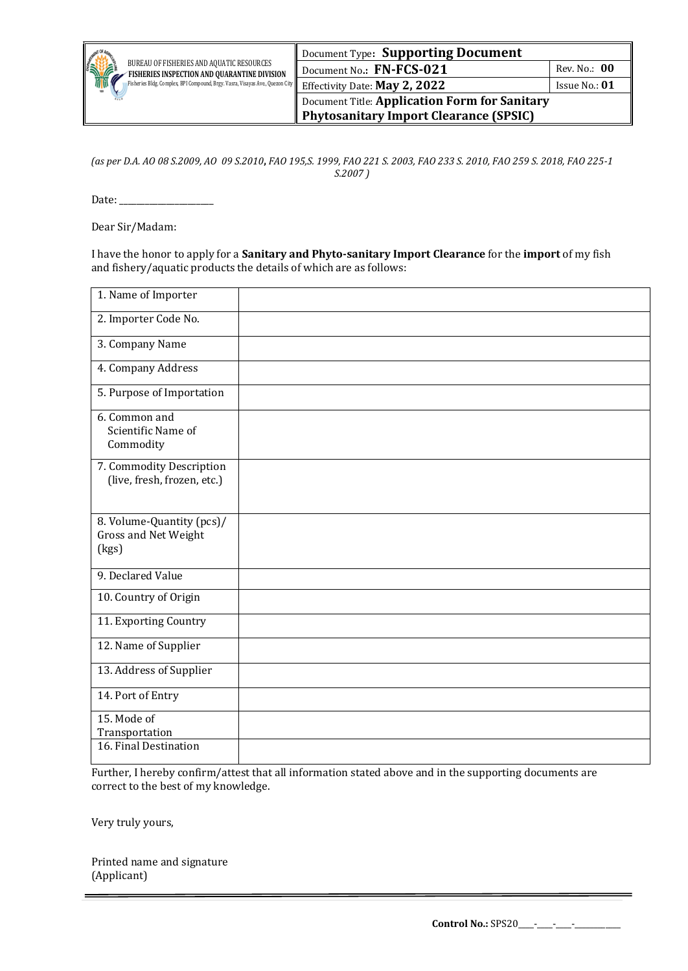

Document Title: **Application Form for Sanitary Phytosanitary Import Clearance (SPSIC)**

*(as per D.A. AO 08 S.2009, AO 09 S.2010***,** *FAO 195,S. 1999, FAO 221 S. 2003, FAO 233 S. 2010, FAO 259 S. 2018, FAO 225-1 S.2007 )*

Date: \_\_\_\_\_\_\_\_\_\_\_\_\_\_\_\_\_\_\_\_\_\_

Dear Sir/Madam:

I have the honor to apply for a **Sanitary and Phyto-sanitary Import Clearance** for the **import** of my fish and fishery/aquatic products the details of which are as follows:

| 1. Name of Importer                                        |  |
|------------------------------------------------------------|--|
| 2. Importer Code No.                                       |  |
| 3. Company Name                                            |  |
| 4. Company Address                                         |  |
| 5. Purpose of Importation                                  |  |
| 6. Common and<br>Scientific Name of<br>Commodity           |  |
| 7. Commodity Description<br>(live, fresh, frozen, etc.)    |  |
| 8. Volume-Quantity (pcs)/<br>Gross and Net Weight<br>(kgs) |  |
| 9. Declared Value                                          |  |
| 10. Country of Origin                                      |  |
| 11. Exporting Country                                      |  |
| 12. Name of Supplier                                       |  |
| 13. Address of Supplier                                    |  |
| 14. Port of Entry                                          |  |
| 15. Mode of<br>Transportation                              |  |
| 16. Final Destination                                      |  |

Further, I hereby confirm/attest that all information stated above and in the supporting documents are correct to the best of my knowledge.

Very truly yours,

Printed name and signature (Applicant)